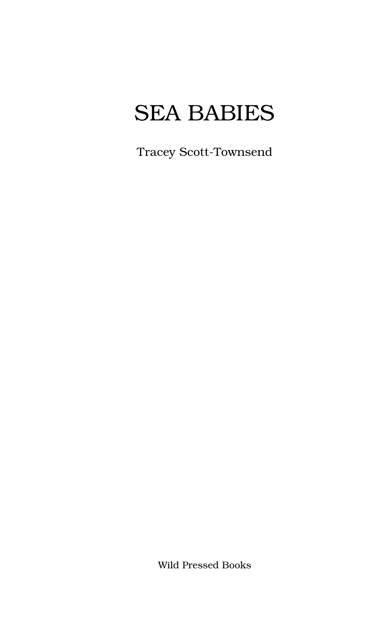## SEA BABIES

Tracey Scott-Townsend

Wild Pressed Books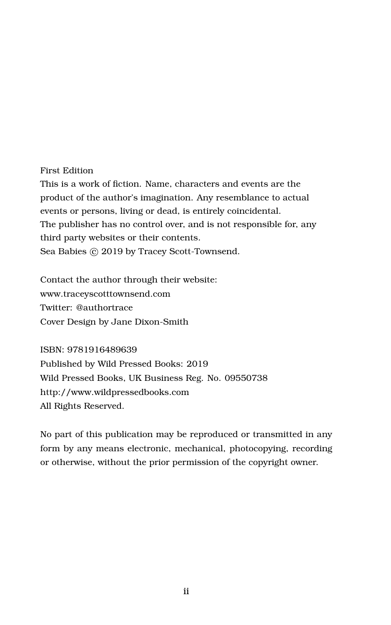## First Edition

This is a work of fiction. Name, characters and events are the product of the author's imagination. Any resemblance to actual events or persons, living or dead, is entirely coincidental. The publisher has no control over, and is not responsible for, any third party websites or their contents. Sea Babies (c) 2019 by Tracey Scott-Townsend.

Contact the author through their website: www.traceyscotttownsend.com Twitter: @authortrace Cover Design by Jane Dixon-Smith

ISBN: 9781916489639 Published by Wild Pressed Books: 2019 Wild Pressed Books, UK Business Reg. No. 09550738 http://www.wildpressedbooks.com All Rights Reserved.

No part of this publication may be reproduced or transmitted in any form by any means electronic, mechanical, photocopying, recording or otherwise, without the prior permission of the copyright owner.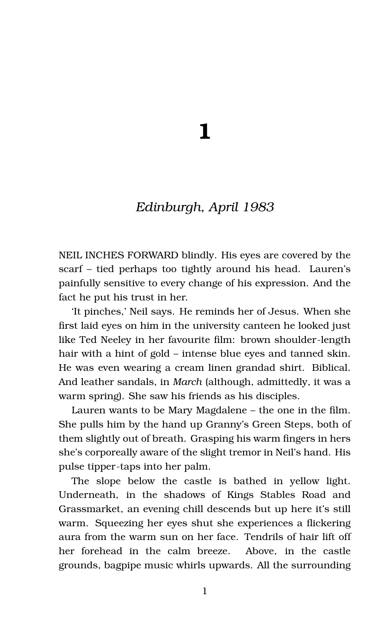**1**

## *Edinburgh, April 1983*

NEIL INCHES FORWARD blindly. His eyes are covered by the scarf – tied perhaps too tightly around his head. Lauren's painfully sensitive to every change of his expression. And the fact he put his trust in her.

'It pinches,' Neil says. He reminds her of Jesus. When she first laid eyes on him in the university canteen he looked just like Ted Neeley in her favourite film: brown shoulder-length hair with a hint of gold – intense blue eyes and tanned skin. He was even wearing a cream linen grandad shirt. Biblical. And leather sandals, in *March* (although, admittedly, it was a warm spring). She saw his friends as his disciples.

Lauren wants to be Mary Magdalene – the one in the film. She pulls him by the hand up Granny's Green Steps, both of them slightly out of breath. Grasping his warm fingers in hers she's corporeally aware of the slight tremor in Neil's hand. His pulse tipper-taps into her palm.

The slope below the castle is bathed in yellow light. Underneath, in the shadows of Kings Stables Road and Grassmarket, an evening chill descends but up here it's still warm. Squeezing her eyes shut she experiences a flickering aura from the warm sun on her face. Tendrils of hair lift off her forehead in the calm breeze. Above, in the castle grounds, bagpipe music whirls upwards. All the surrounding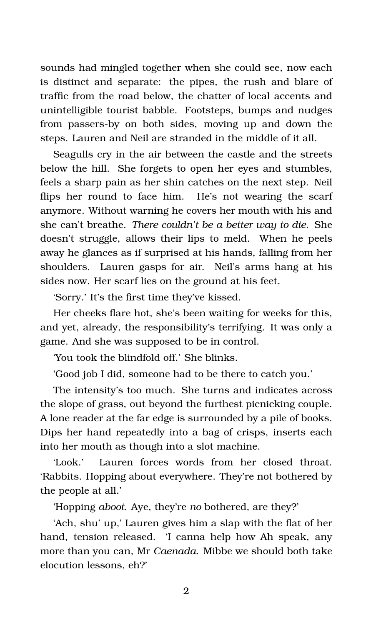sounds had mingled together when she could see, now each is distinct and separate: the pipes, the rush and blare of traffic from the road below, the chatter of local accents and unintelligible tourist babble. Footsteps, bumps and nudges from passers-by on both sides, moving up and down the steps. Lauren and Neil are stranded in the middle of it all.

Seagulls cry in the air between the castle and the streets below the hill. She forgets to open her eyes and stumbles, feels a sharp pain as her shin catches on the next step. Neil flips her round to face him. He's not wearing the scarf anymore. Without warning he covers her mouth with his and she can't breathe. *There couldn't be a better way to die*. She doesn't struggle, allows their lips to meld. When he peels away he glances as if surprised at his hands, falling from her shoulders. Lauren gasps for air. Neil's arms hang at his sides now. Her scarf lies on the ground at his feet.

'Sorry.' It's the first time they've kissed.

Her cheeks flare hot, she's been waiting for weeks for this, and yet, already, the responsibility's terrifying. It was only a game. And she was supposed to be in control.

'You took the blindfold off.' She blinks.

'Good job I did, someone had to be there to catch you.'

The intensity's too much. She turns and indicates across the slope of grass, out beyond the furthest picnicking couple. A lone reader at the far edge is surrounded by a pile of books. Dips her hand repeatedly into a bag of crisps, inserts each into her mouth as though into a slot machine.

'Look.' Lauren forces words from her closed throat. 'Rabbits. Hopping about everywhere. They're not bothered by the people at all.'

'Hopping *aboot*. Aye, they're *no* bothered, are they?'

'Ach, shu' up,' Lauren gives him a slap with the flat of her hand, tension released. 'I canna help how Ah speak, any more than you can, Mr *Caenada*. Mibbe we should both take elocution lessons, eh?'